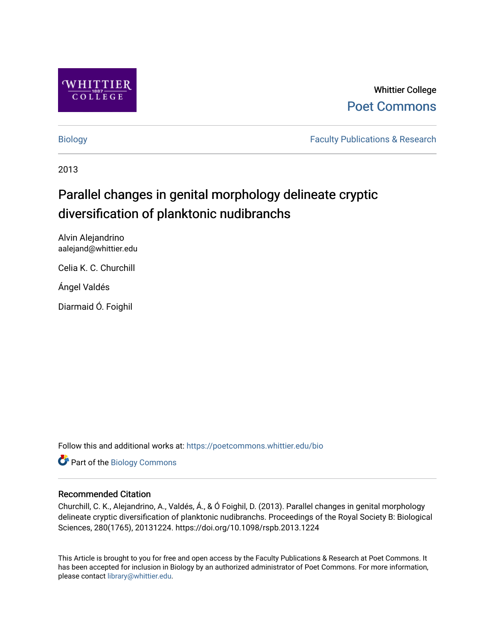

# Whittier College [Poet Commons](https://poetcommons.whittier.edu/)

[Biology](https://poetcommons.whittier.edu/bio) **Faculty Publications & Research** 

2013

# Parallel changes in genital morphology delineate cryptic diversification of planktonic nudibranchs

Alvin Alejandrino aalejand@whittier.edu

Celia K. C. Churchill

Ángel Valdés

Diarmaid Ó. Foighil

Follow this and additional works at: [https://poetcommons.whittier.edu/bio](https://poetcommons.whittier.edu/bio?utm_source=poetcommons.whittier.edu%2Fbio%2F1&utm_medium=PDF&utm_campaign=PDFCoverPages)

Part of the [Biology Commons](http://network.bepress.com/hgg/discipline/41?utm_source=poetcommons.whittier.edu%2Fbio%2F1&utm_medium=PDF&utm_campaign=PDFCoverPages) 

### Recommended Citation

Churchill, C. K., Alejandrino, A., Valdés, Á., & Ó Foighil, D. (2013). Parallel changes in genital morphology delineate cryptic diversification of planktonic nudibranchs. Proceedings of the Royal Society B: Biological Sciences, 280(1765), 20131224. https://doi.org/10.1098/rspb.2013.1224

This Article is brought to you for free and open access by the Faculty Publications & Research at Poet Commons. It has been accepted for inclusion in Biology by an authorized administrator of Poet Commons. For more information, please contact [library@whittier.edu](mailto:library@whittier.edu).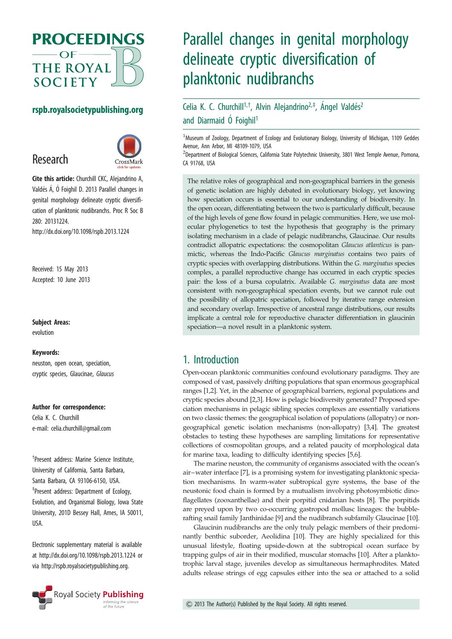

## rspb.royalsocietypublishing.org

# Research



Cite this article: Churchill CKC, Alejandrino A, Valdés Á, Ó Foighil D. 2013 Parallel changes in genital morphology delineate cryptic diversification of planktonic nudibranchs. Proc R Soc B 280: 20131224.

http://dx.doi.org/10.1098/rspb.2013.1224

Received: 15 May 2013 Accepted: 10 June 2013

### Subject Areas:

evolution

#### Keywords:

neuston, open ocean, speciation, cryptic species, Glaucinae, Glaucus

#### Author for correspondence:

Celia K. C. Churchill e-mail: [celia.churchill@gmail.com](mailto:celia.churchill@gmail.com)

† Present address: Marine Science Institute, University of California, Santa Barbara, Santa Barbara, CA 93106-6150, USA. ‡ Present address: Department of Ecology, Evolution, and Organismal Biology, Iowa State University, 201D Bessey Hall, Ames, IA 50011, USA.

Electronic supplementary material is available at<http://dx.doi.org/10.1098/rspb.2013.1224> or via<http://rspb.royalsocietypublishing.org>.



# Parallel changes in genital morphology delineate cryptic diversification of planktonic nudibranchs

# Celia K. C. Churchill<sup>1,†</sup>, Alvin Alejandrino<sup>2,‡</sup>, Ángel Valdés<sup>2</sup> and Diarmaid Ó Foighil<sup>1</sup>

<sup>1</sup>Museum of Zoology, Department of Ecology and Evolutionary Biology, University of Michigan, 1109 Geddes Avenue, Ann Arbor, MI 48109-1079, USA

2 Department of Biological Sciences, California State Polytechnic University, 3801 West Temple Avenue, Pomona, CA 91768, USA

The relative roles of geographical and non-geographical barriers in the genesis of genetic isolation are highly debated in evolutionary biology, yet knowing how speciation occurs is essential to our understanding of biodiversity. In the open ocean, differentiating between the two is particularly difficult, because of the high levels of gene flow found in pelagic communities. Here, we use molecular phylogenetics to test the hypothesis that geography is the primary isolating mechanism in a clade of pelagic nudibranchs, Glaucinae. Our results contradict allopatric expectations: the cosmopolitan Glaucus atlanticus is panmictic, whereas the Indo-Pacific Glaucus marginatus contains two pairs of cryptic species with overlapping distributions. Within the G. marginatus species complex, a parallel reproductive change has occurred in each cryptic species pair: the loss of a bursa copulatrix. Available G. marginatus data are most consistent with non-geographical speciation events, but we cannot rule out the possibility of allopatric speciation, followed by iterative range extension and secondary overlap. Irrespective of ancestral range distributions, our results implicate a central role for reproductive character differentiation in glaucinin speciation—a novel result in a planktonic system.

# 1. Introduction

Open-ocean planktonic communities confound evolutionary paradigms. They are composed of vast, passively drifting populations that span enormous geographical ranges [\[1,2\]](#page-5-0). Yet, in the absence of geographical barriers, regional populations and cryptic species abound [\[2](#page-5-0),[3\]](#page-5-0). How is pelagic biodiversity generated? Proposed speciation mechanisms in pelagic sibling species complexes are essentially variations on two classic themes: the geographical isolation of populations (allopatry) or nongeographical genetic isolation mechanisms (non-allopatry) [[3,4](#page-5-0)]. The greatest obstacles to testing these hypotheses are sampling limitations for representative collections of cosmopolitan groups, and a related paucity of morphological data for marine taxa, leading to difficulty identifying species [[5,6](#page-5-0)].

The marine neuston, the community of organisms associated with the ocean's air–water interface [[7\]](#page-5-0), is a promising system for investigating planktonic speciation mechanisms. In warm-water subtropical gyre systems, the base of the neustonic food chain is formed by a mutualism involving photosymbiotic dinoflagellates (zooxanthellae) and their porpitid cnidarian hosts [\[8\]](#page-5-0). The porpitids are preyed upon by two co-occurring gastropod mollusc lineages: the bubblerafting snail family Janthinidae [[9](#page-5-0)] and the nudibranch subfamily Glaucinae [[10\]](#page-5-0).

Glaucinin nudibranchs are the only truly pelagic members of their predominantly benthic suborder, Aeolidina [\[10](#page-5-0)]. They are highly specialized for this unusual lifestyle, floating upside-down at the subtropical ocean surface by trapping gulps of air in their modified, muscular stomachs [\[10](#page-5-0)]. After a planktotrophic larval stage, juveniles develop as simultaneous hermaphrodites. Mated adults release strings of egg capsules either into the sea or attached to a solid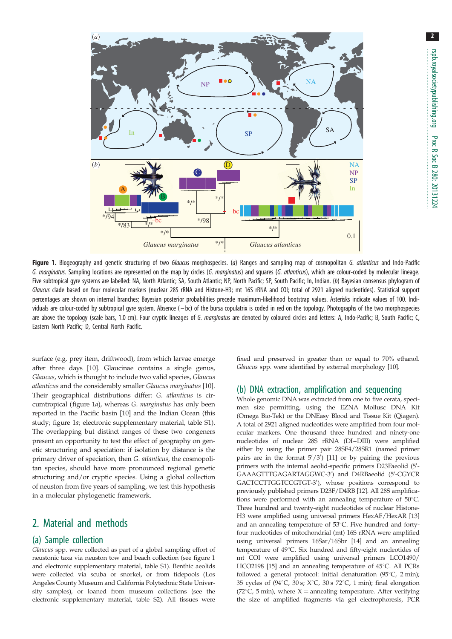2

<span id="page-2-0"></span>

Figure 1. Biogeography and genetic structuring of two Glaucus morphospecies. (a) Ranges and sampling map of cosmopolitan G. atlanticus and Indo-Pacific G. marginatus. Sampling locations are represented on the map by circles (G. marginatus) and squares (G. atlanticus), which are colour-coded by molecular lineage. Five subtropical gyre systems are labelled: NA, North Atlantic; SA, South Atlantic; NP, North Pacific; SP, South Pacific; In, Indian. (b) Bayesian consensus phylogram of Glaucus clade based on four molecular markers (nuclear 28S rRNA and Histone-H3; mt 16S rRNA and COI; total of 2921 aligned nucleotides). Statistical support percentages are shown on internal branches; Bayesian posterior probabilities precede maximum-likelihood bootstrap values. Asterisks indicate values of 100. Individuals are colour-coded by subtropical gyre system. Absence (-bc) of the bursa copulatrix is coded in red on the topology. Photographs of the two morphospecies are above the topology (scale bars, 1.0 cm). Four cryptic lineages of G. marginatus are denoted by coloured circles and letters: A, Indo-Pacific: B. South Pacific: C. Eastern North Pacific; D, Central North Pacific.

surface (e.g. prey item, driftwood), from which larvae emerge after three days [\[10](#page-5-0)]. Glaucinae contains a single genus, Glaucus, which is thought to include two valid species, Glaucus atlanticus and the considerably smaller Glaucus marginatus [[10](#page-5-0)]. Their geographical distributions differ: G. atlanticus is circumtropical (figure 1a), whereas G. marginatus has only been reported in the Pacific basin [[10\]](#page-5-0) and the Indian Ocean (this study; figure 1a; electronic supplementary material, table S1). The overlapping but distinct ranges of these two congeners present an opportunity to test the effect of geography on genetic structuring and speciation: if isolation by distance is the primary driver of speciation, then G. atlanticus, the cosmopolitan species, should have more pronounced regional genetic structuring and/or cryptic species. Using a global collection of neuston from five years of sampling, we test this hypothesis in a molecular phylogenetic framework.

# 2. Material and methods

### (a) Sample collection

Glaucus spp. were collected as part of a global sampling effort of neustonic taxa via neuston tow and beach collection (see figure 1 and electronic supplementary material, table S1). Benthic aeolids were collected via scuba or snorkel, or from tidepools (Los Angeles County Museum and California Polytechnic State University samples), or loaned from museum collections (see the electronic supplementary material, table S2). All tissues were

fixed and preserved in greater than or equal to 70% ethanol. Glaucus spp. were identified by external morphology [\[10\]](#page-5-0).

#### (b) DNA extraction, amplification and sequencing

Whole genomic DNA was extracted from one to five cerata, specimen size permitting, using the EZNA Mollusc DNA Kit (Omega Bio-Tek) or the DNEasy Blood and Tissue Kit (Qiagen). A total of 2921 aligned nucleotides were amplified from four molecular markers. One thousand three hundred and ninety-one nucleotides of nuclear 28S rRNA (DI–DIII) were amplified either by using the primer pair 28SF4/28SR1 (named primer pairs are in the format  $5'/3'$ ) [\[11\]](#page-5-0) or by pairing the previous primers with the internal aeolid-specific primers D23Faeolid (5'-GAAAGTTTGAGARTAGGWC-3') and D4RBaeolid (5'-CGYCR GACTCCTTGGTCCGTGT-3'), whose positions correspond to previously published primers D23F/D4RB [[12\]](#page-5-0). All 28S amplifications were performed with an annealing temperature of  $50^{\circ}$ C. Three hundred and twenty-eight nucleotides of nuclear Histone-H3 were amplified using universal primers HexAF/HexAR [[13](#page-5-0)] and an annealing temperature of  $53^{\circ}$ C. Five hundred and fortyfour nucleotides of mitochondrial (mt) 16S rRNA were amplified using universal primers 16Sar/16Sbr [\[14\]](#page-5-0) and an annealing temperature of 49°C. Six hundred and fifty-eight nucleotides of mt COI were amplified using universal primers LCO1490/ HCO2198 [[15](#page-5-0)] and an annealing temperature of  $45^{\circ}$ C. All PCRs followed a general protocol: initial denaturation  $(95^{\circ}C, 2 \text{ min})$ ; 35 cycles of (94°C, 30 s;  $X$ °C, 30 s 72°C, 1 min); final elongation (72 $\degree$ C, 5 min), where X = annealing temperature. After verifying the size of amplified fragments via gel electrophoresis, PCR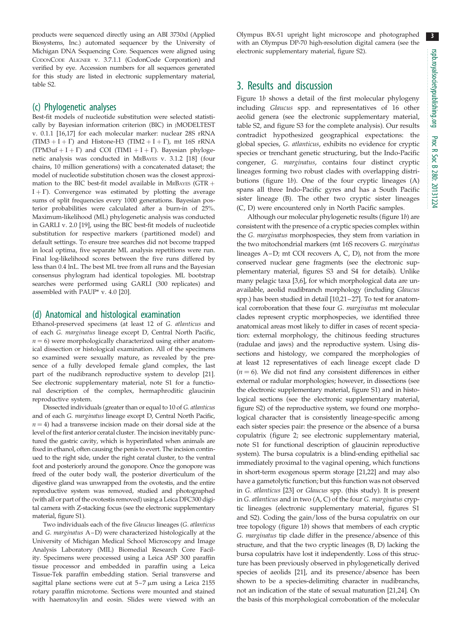3

products were sequenced directly using an ABI 3730xl (Applied Biosystems, Inc.) automated sequencer by the University of Michigan DNA Sequencing Core. Sequences were aligned using CODONCODE ALIGNER v. 3.7.1.1 (CodonCode Corporation) and verified by eye. Accession numbers for all sequences generated for this study are listed in electronic supplementary material, table S2.

#### (c) Phylogenetic analyses

Best-fit models of nucleotide substitution were selected statistically by Bayesian information criterion (BIC) in JMODELTEST v. 0.1.1 [\[16,17](#page-5-0)] for each molecular marker: nuclear 28S rRNA  $(TIM3 + I + \Gamma)$  and Histone-H3  $(TIM2 + I + \Gamma)$ , mt 16S rRNA (TPM3uf + I +  $\Gamma$ ) and COI (TIM1 + I +  $\Gamma$ ). Bayesian phylogenetic analysis was conducted in MRBAYES v. 3.1.2 [\[18\]](#page-5-0) (four chains, 10 million generations) with a concatenated dataset; the model of nucleotide substitution chosen was the closest approximation to the BIC best-fit model available in MRBAYES (GTR  $+$  $I + \Gamma$ ). Convergence was estimated by plotting the average sums of split frequencies every 1000 generations. Bayesian posterior probabilities were calculated after a burn-in of 25%. Maximum-likelihood (ML) phylogenetic analysis was conducted in GARLI v. 2.0 [\[19\]](#page-5-0), using the BIC best-fit models of nucleotide substitution for respective markers (partitioned model) and default settings. To ensure tree searches did not become trapped in local optima, five separate ML analysis repetitions were run. Final log-likelihood scores between the five runs differed by less than 0.4 lnL. The best ML tree from all runs and the Bayesian consensus phylogram had identical topologies. ML bootstrap searches were performed using GARLI (300 replicates) and assembled with PAUP\* v. 4.0 [\[20\]](#page-5-0).

#### (d) Anatomical and histological examination

Ethanol-preserved specimens (at least 12 of G. atlanticus and of each G. marginatus lineage except D, Central North Pacific,  $n = 6$ ) were morphologically characterized using either anatomical dissection or histological examination. All of the specimens so examined were sexually mature, as revealed by the presence of a fully developed female gland complex, the last part of the nudibranch reproductive system to develop [[21\]](#page-5-0). See electronic supplementary material, note S1 for a functional description of the complex, hermaphroditic glaucinin reproductive system.

Dissected individuals (greater than or equal to 10 of G. atlanticus and of each G. marginatus lineage except D, Central North Pacific,  $n = 4$ ) had a transverse incision made on their dorsal side at the level of the first anterior ceratal cluster. The incision inevitably punctured the gastric cavity, which is hyperinflated when animals are fixed in ethanol, often causing the penis to evert. The incision continued to the right side, under the right ceratal cluster, to the ventral foot and posteriorly around the gonopore. Once the gonopore was freed of the outer body wall, the posterior diverticulum of the digestive gland was unwrapped from the ovotestis, and the entire reproductive system was removed, studied and photographed (with all or part of the ovotestis removed) using a Leica DFC300 digital camera with Z-stacking focus (see the electronic supplementary material, figure S1).

Two individuals each of the five Glaucus lineages (G. atlanticus and G. marginatus A–D) were characterized histologically at the University of Michigan Medical School Microscopy and Image Analysis Laboratory (MIL) Biomedial Research Core Facility. Specimens were processed using a Leica ASP 300 paraffin tissue processor and embedded in paraffin using a Leica Tissue-Tek paraffin embedding station. Serial transverse and sagittal plane sections were cut at  $5-7 \mu m$  using a Leica 2155 rotary paraffin microtome. Sections were mounted and stained with haematoxylin and eosin. Slides were viewed with an

Olympus BX-51 upright light microscope and photographed with an Olympus DP-70 high-resolution digital camera (see the electronic supplementary material, figure S2).

### 3. Results and discussion

[Figure 1](#page-2-0)b shows a detail of the first molecular phylogeny including Glaucus spp. and representatives of 16 other aeolid genera (see the electronic supplementary material, table S2, and figure S3 for the complete analysis). Our results contradict hypothesized geographical expectations: the global species, G. atlanticus, exhibits no evidence for cryptic species or trenchant genetic structuring, but the Indo-Pacific congener, G. marginatus, contains four distinct cryptic lineages forming two robust clades with overlapping distributions [\(figure 1](#page-2-0)b). One of the four cryptic lineages (A) spans all three Indo-Pacific gyres and has a South Pacific sister lineage (B). The other two cryptic sister lineages (C, D) were encountered only in North Pacific samples.

Although our molecular phylogenetic results [\(figure 1](#page-2-0)b) are consistent with the presence of a cryptic species complex within the G. marginatus morphospecies, they stem from variation in the two mitochondrial markers (mt 16S recovers G. marginatus lineages A–D; mt COI recovers A, C, D), not from the more conserved nuclear gene fragments (see the electronic supplementary material, figures S3 and S4 for details). Unlike many pelagic taxa [\[3,6](#page-5-0)], for which morphological data are unavailable, aeolid nudibranch morphology (including Glaucus spp.) has been studied in detail [\[10,21](#page-5-0)–[27](#page-5-0)]. To test for anatomical corroboration that these four G. marginatus mt molecular clades represent cryptic morphospecies, we identified three anatomical areas most likely to differ in cases of recent speciation: external morphology, the chitinous feeding structures (radulae and jaws) and the reproductive system. Using dissections and histology, we compared the morphologies of at least 12 representatives of each lineage except clade D  $(n = 6)$ . We did not find any consistent differences in either external or radular morphologies; however, in dissections (see the electronic supplementary material, figure S1) and in histological sections (see the electronic supplementary material, figure S2) of the reproductive system, we found one morphological character that is consistently lineage-specific among each sister species pair: the presence or the absence of a bursa copulatrix [\(figure 2;](#page-4-0) see electronic supplementary material, note S1 for functional description of glaucinin reproductive system). The bursa copulatrix is a blind-ending epithelial sac immediately proximal to the vaginal opening, which functions in short-term exogenous sperm storage [[21,22\]](#page-5-0) and may also have a gametolytic function; but this function was not observed in G. atlanticus [[23](#page-5-0)] or Glaucus spp. (this study). It is present in G. atlanticus and in two (A, C) of the four G. marginatus cryptic lineages (electronic supplementary material, figures S1 and S2). Coding the gain/loss of the bursa copulatrix on our tree topology ([figure 1](#page-2-0)b) shows that members of each cryptic G. marginatus tip clade differ in the presence/absence of this structure, and that the two cryptic lineages (B, D) lacking the bursa copulatrix have lost it independently. Loss of this structure has been previously observed in phylogenetically derived species of aeolids [\[21\]](#page-5-0), and its presence/absence has been shown to be a species-delimiting character in nudibranchs, not an indication of the state of sexual maturation [\[21,24\]](#page-5-0). On the basis of this morphological corroboration of the molecular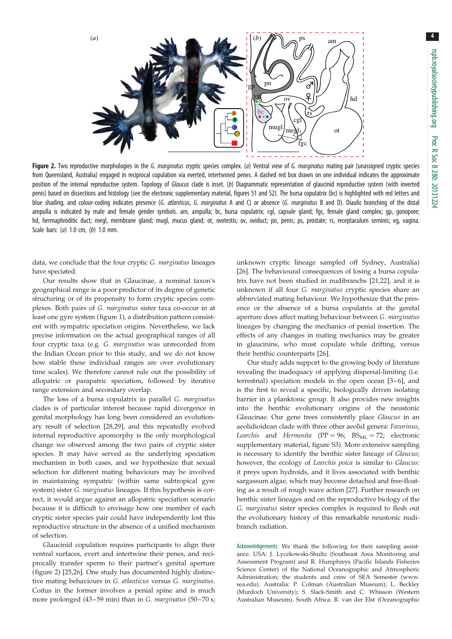<span id="page-4-0"></span>

Figure 2. Two reproductive morphologies in the G. marginatus cryptic species complex. (a) Ventral view of G. marginatus mating pair (unassigned cryptic species from Queensland, Australia) engaged in reciprocal copulation via everted, intertwined penes. A dashed red box drawn on one individual indicates the approximate position of the internal reproductive system. Topology of Glaucus clade is inset. (b) Diagrammatic representation of glaucinid reproductive system (with inverted penis) based on dissections and histology (see the electronic supplementary material, figures S1 and S2). The bursa copulatrix (bc) is highlighted with red letters and blue shading, and colour-coding indicates presence (G. atlanticus, G. marginatus A and C) or absence (G. marginatus B and D). Diaulic branching of the distal ampulla is indicated by male and female gender symbols. am, ampulla; bc, bursa copulatrix; cgl, capsule gland; fgc, female gland complex; gp, gonopore; hd, hermaphroditic duct; megl, membrane gland; mugl, mucus gland; ot, ovotestis; ov, oviduct; pn, penis; ps, prostate; rs, receptaculum seminis; vg, vagina. Scale bars: (a) 1.0 cm, (b) 1.0 mm.

data, we conclude that the four cryptic G. marginatus lineages have speciated.

Our results show that in Glaucinae, a nominal taxon's geographical range is a poor predictor of its degree of genetic structuring or of its propensity to form cryptic species complexes. Both pairs of G. marginatus sister taxa co-occur in at least one gyre system [\(figure 1\)](#page-2-0), a distribution pattern consistent with sympatric speciation origins. Nevertheless, we lack precise information on the actual geographical ranges of all four cryptic taxa (e.g. G. marginatus was unrecorded from the Indian Ocean prior to this study, and we do not know how stable these individual ranges are over evolutionary time scales). We therefore cannot rule out the possibility of allopatric or parapatric speciation, followed by iterative range extension and secondary overlap.

The loss of a bursa copulatrix in parallel G. marginatus clades is of particular interest because rapid divergence in genital morphology has long been considered an evolutionary result of selection [\[28](#page-5-0),[29\]](#page-5-0), and this repeatedly evolved internal reproductive apomorphy is the only morphological change we observed among the two pairs of cryptic sister species. It may have served as the underlying speciation mechanism in both cases, and we hypothesize that sexual selection for different mating behaviours may be involved in maintaining sympatric (within same subtropical gyre system) sister G. marginatus lineages. If this hypothesis is correct, it would argue against an allopatric speciation scenario because it is difficult to envisage how one member of each cryptic sister species pair could have independently lost this reproductive structure in the absence of a unified mechanism of selection.

Glaucinid copulation requires participants to align their ventral surfaces, evert and intertwine their penes, and reciprocally transfer sperm to their partner's genital aperture (figure 2) [\[25](#page-5-0),[26\]](#page-5-0). One study has documented highly distinctive mating behaviours in G. atlanticus versus G. marginatus. Coitus in the former involves a penial spine and is much more prolonged (43-59 min) than in G. marginatus (50-70 s; unknown cryptic lineage sampled off Sydney, Australia) [[26\]](#page-5-0). The behavioural consequences of losing a bursa copulatrix have not been studied in nudibranchs [[21,22\]](#page-5-0), and it is unknown if all four G. marginatus cryptic species share an abbreviated mating behaviour. We hypothesize that the presence or the absence of a bursa copulatrix at the genital aperture does affect mating behaviour between G. marginatus lineages by changing the mechanics of penial insertion. The effects of any changes in mating mechanics may be greater in glaucinins, who must copulate while drifting, versus their benthic counterparts [[26\]](#page-5-0).

Our study adds support to the growing body of literature revealing the inadequacy of applying dispersal-limiting (i.e. terrestrial) speciation models in the open ocean [\[3](#page-5-0)–[6\]](#page-5-0), and is the first to reveal a specific, biologically driven isolating barrier in a planktonic group. It also provides new insights into the benthic evolutionary origins of the neustonic Glaucinae. Our gene trees consistently place Glaucus in an aeolidioidean clade with three other aeolid genera: Favorinus, Learchis and Hermosita (PP = 96;  $BS_{ML} = 72$ ; electronic supplementary material, figure S3). More extensive sampling is necessary to identify the benthic sister lineage of Glaucus; however, the ecology of Learchis poica is similar to Glaucus: it preys upon hydroids, and it lives associated with benthic sargassum algae, which may become detached and free-floating as a result of rough wave action [\[27](#page-5-0)]. Further research on benthic sister lineages and on the reproductive biology of the G. marginatus sister species complex is required to flesh out the evolutionary history of this remarkable neustonic nudibranch radiation.

Acknowledgements. We thank the following for their sampling assistance. USA: J. Lyczkowski-Shultz (Southeast Area Monitoring and Assessment Program) and R. Humphreys (Pacific Islands Fisheries Science Center) of the National Oceanographic and Atmospheric Administration; the students and crew of SEA Semester ([www.](http://www.sea.edu) [sea.edu](http://www.sea.edu)). Australia: P. Colman (Australian Museum); L. Beckley (Murdoch University); S. Slack-Smith and C. Whisson (Western Australian Museum). South Africa: R. van der Elst (Oceanographic